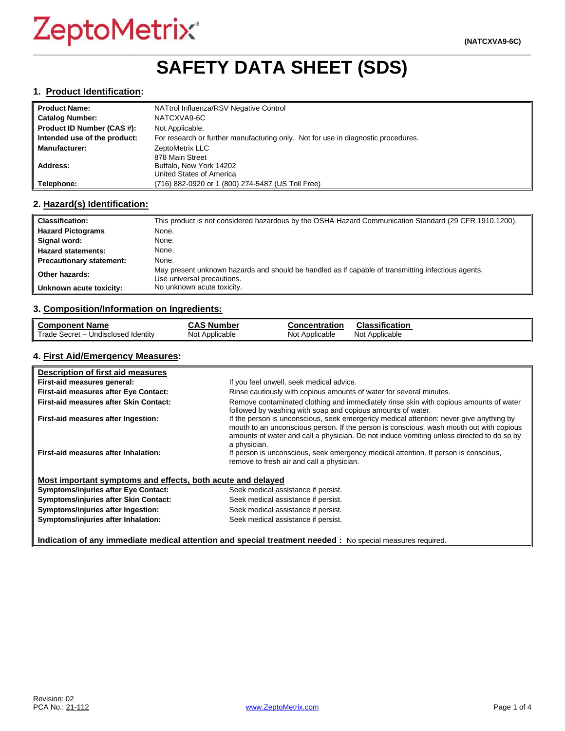# **\_\_\_\_\_\_\_\_\_\_\_\_\_\_\_\_\_\_\_\_\_\_\_\_\_\_\_\_\_\_\_\_\_\_\_\_\_\_\_\_\_\_\_\_\_\_\_\_\_\_\_\_\_\_\_\_\_\_\_\_\_\_\_\_\_\_\_\_\_\_\_\_\_\_\_\_\_\_\_\_\_\_\_\_\_\_\_\_\_\_\_\_\_\_\_\_\_ SAFETY DATA SHEET (SDS)**

#### **1. Product Identification:**

| ll Product Name:             | NATtrol Influenza/RSV Negative Control                                            |
|------------------------------|-----------------------------------------------------------------------------------|
| <b>Catalog Number:</b>       | NATCXVA9-6C                                                                       |
| Product ID Number (CAS #):   | Not Applicable.                                                                   |
| Intended use of the product: | For research or further manufacturing only. Not for use in diagnostic procedures. |
| Manufacturer:                | ZeptoMetrix LLC                                                                   |
|                              | 878 Main Street                                                                   |
| Address:                     | Buffalo, New York 14202                                                           |
|                              | United States of America                                                          |
| Telephone:                   | (716) 882-0920 or 1 (800) 274-5487 (US Toll Free)                                 |

#### **2. Hazard(s) Identification:**

| <b>Classification:</b>          | This product is not considered hazardous by the OSHA Hazard Communication Standard (29 CFR 1910.1200).                           |
|---------------------------------|----------------------------------------------------------------------------------------------------------------------------------|
| <b>Hazard Pictograms</b>        | None.                                                                                                                            |
| Signal word:                    | None.                                                                                                                            |
| <b>Hazard statements:</b>       | None.                                                                                                                            |
| <b>Precautionary statement:</b> | None.                                                                                                                            |
| Other hazards:                  | May present unknown hazards and should be handled as if capable of transmitting infectious agents.<br>Use universal precautions. |
| Unknown acute toxicity:         | No unknown acute toxicity.                                                                                                       |

#### **3. Composition/Information on Ingredients:**

| <b>Component Name</b>               | <b>CAS Number</b> | <b>Concentration</b> | <b>Classification</b> |
|-------------------------------------|-------------------|----------------------|-----------------------|
| Trade Secret - Undisclosed Identity | Not Applicable    | Not Applicable       | Not Applicable        |

### **4. First Aid/Emergency Measures:**

| Description of first aid measures                           |                                                                                                                                                                                                                                                                                                |
|-------------------------------------------------------------|------------------------------------------------------------------------------------------------------------------------------------------------------------------------------------------------------------------------------------------------------------------------------------------------|
| First-aid measures general:                                 | If you feel unwell, seek medical advice.                                                                                                                                                                                                                                                       |
| First-aid measures after Eye Contact:                       | Rinse cautiously with copious amounts of water for several minutes.                                                                                                                                                                                                                            |
| First-aid measures after Skin Contact:                      | Remove contaminated clothing and immediately rinse skin with copious amounts of water<br>followed by washing with soap and copious amounts of water.                                                                                                                                           |
| First-aid measures after Ingestion:                         | If the person is unconscious, seek emergency medical attention: never give anything by<br>mouth to an unconscious person. If the person is conscious, wash mouth out with copious<br>amounts of water and call a physician. Do not induce vomiting unless directed to do so by<br>a physician. |
| First-aid measures after Inhalation:                        | If person is unconscious, seek emergency medical attention. If person is conscious,<br>remove to fresh air and call a physician.                                                                                                                                                               |
| Most important symptoms and effects, both acute and delayed |                                                                                                                                                                                                                                                                                                |
| <b>Symptoms/injuries after Eye Contact:</b>                 | Seek medical assistance if persist.                                                                                                                                                                                                                                                            |
| Symptoms/injuries after Skin Contact:                       | Seek medical assistance if persist.                                                                                                                                                                                                                                                            |
| Symptoms/injuries after Ingestion:                          | Seek medical assistance if persist.                                                                                                                                                                                                                                                            |
| Symptoms/injuries after Inhalation:                         | Seek medical assistance if persist.                                                                                                                                                                                                                                                            |

**Indication of any immediate medical attention and special treatment needed :** No special measures required.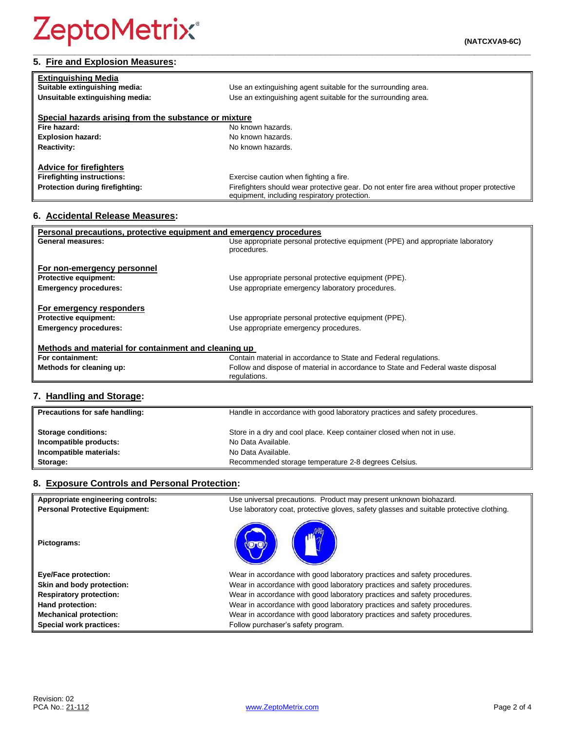# **5. Fire and Explosion Measures:**

| <b>Extinguishing Media</b>                            |                                                                                                                                            |
|-------------------------------------------------------|--------------------------------------------------------------------------------------------------------------------------------------------|
| Suitable extinguishing media:                         | Use an extinguishing agent suitable for the surrounding area.                                                                              |
| Unsuitable extinguishing media:                       | Use an extinguishing agent suitable for the surrounding area.                                                                              |
|                                                       |                                                                                                                                            |
| Special hazards arising from the substance or mixture |                                                                                                                                            |
| Fire hazard:                                          | No known hazards.                                                                                                                          |
| <b>Explosion hazard:</b>                              | No known hazards.                                                                                                                          |
| <b>Reactivity:</b>                                    | No known hazards.                                                                                                                          |
|                                                       |                                                                                                                                            |
| <b>Advice for firefighters</b>                        |                                                                                                                                            |
| <b>Firefighting instructions:</b>                     | Exercise caution when fighting a fire.                                                                                                     |
| Protection during firefighting:                       | Firefighters should wear protective gear. Do not enter fire area without proper protective<br>equipment, including respiratory protection. |

# **6. Accidental Release Measures:**

| Personal precautions, protective equipment and emergency procedures |                                                                                  |  |
|---------------------------------------------------------------------|----------------------------------------------------------------------------------|--|
| General measures:                                                   | Use appropriate personal protective equipment (PPE) and appropriate laboratory   |  |
|                                                                     | procedures.                                                                      |  |
| For non-emergency personnel                                         |                                                                                  |  |
| <b>Protective equipment:</b>                                        | Use appropriate personal protective equipment (PPE).                             |  |
| <b>Emergency procedures:</b>                                        | Use appropriate emergency laboratory procedures.                                 |  |
|                                                                     |                                                                                  |  |
| For emergency responders                                            |                                                                                  |  |
| <b>Protective equipment:</b>                                        | Use appropriate personal protective equipment (PPE).                             |  |
| <b>Emergency procedures:</b>                                        | Use appropriate emergency procedures.                                            |  |
|                                                                     |                                                                                  |  |
| Methods and material for containment and cleaning up                |                                                                                  |  |
| For containment:                                                    | Contain material in accordance to State and Federal regulations.                 |  |
| Methods for cleaning up:                                            | Follow and dispose of material in accordance to State and Federal waste disposal |  |
|                                                                     | regulations.                                                                     |  |

# **7. Handling and Storage:**

| Precautions for safe handling: | Handle in accordance with good laboratory practices and safety procedures. |
|--------------------------------|----------------------------------------------------------------------------|
| <b>Storage conditions:</b>     | Store in a dry and cool place. Keep container closed when not in use.      |
| Incompatible products:         | No Data Available.                                                         |
| Incompatible materials:        | No Data Available.                                                         |
| Storage:                       | Recommended storage temperature 2-8 degrees Celsius.                       |

## **8. Exposure Controls and Personal Protection:**

| Appropriate engineering controls:     | Use universal precautions. Product may present unknown biohazard.                        |
|---------------------------------------|------------------------------------------------------------------------------------------|
| <b>Personal Protective Equipment:</b> | Use laboratory coat, protective gloves, safety glasses and suitable protective clothing. |
| Pictograms:                           |                                                                                          |
| <b>Eye/Face protection:</b>           | Wear in accordance with good laboratory practices and safety procedures.                 |
| Skin and body protection:             | Wear in accordance with good laboratory practices and safety procedures.                 |
| <b>Respiratory protection:</b>        | Wear in accordance with good laboratory practices and safety procedures.                 |
| Hand protection:                      | Wear in accordance with good laboratory practices and safety procedures.                 |
| <b>Mechanical protection:</b>         | Wear in accordance with good laboratory practices and safety procedures.                 |
| Special work practices:               | Follow purchaser's safety program.                                                       |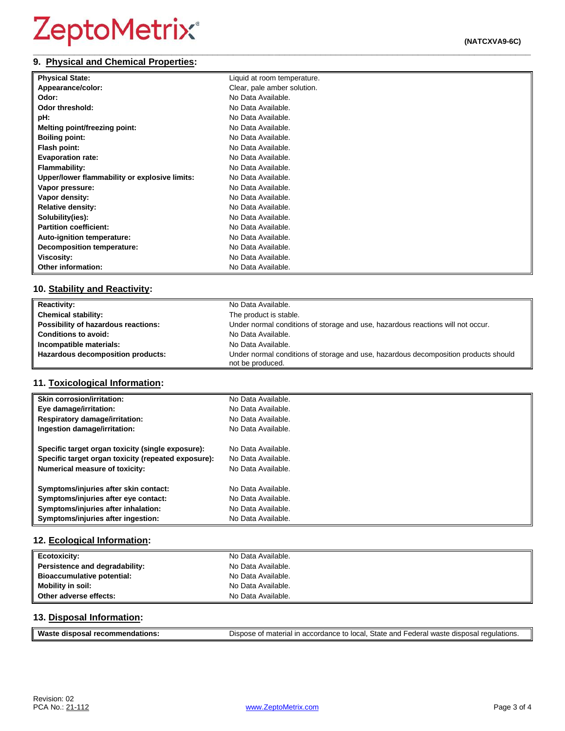#### **\_\_\_\_\_\_\_\_\_\_\_\_\_\_\_\_\_\_\_\_\_\_\_\_\_\_\_\_\_\_\_\_\_\_\_\_\_\_\_\_\_\_\_\_\_\_\_\_\_\_\_\_\_\_\_\_\_\_\_\_\_\_\_\_\_\_\_\_\_\_\_\_\_\_\_\_\_\_\_\_\_\_\_\_\_\_\_\_\_\_\_\_\_\_\_\_\_ 9. Physical and Chemical Properties:**

| <b>Physical State:</b>                        | Liquid at room temperature. |
|-----------------------------------------------|-----------------------------|
| Appearance/color:                             | Clear, pale amber solution. |
| Odor:                                         | No Data Available.          |
| Odor threshold:                               | No Data Available.          |
| pH:                                           | No Data Available.          |
| Melting point/freezing point:                 | No Data Available.          |
| <b>Boiling point:</b>                         | No Data Available.          |
| Flash point:                                  | No Data Available.          |
| <b>Evaporation rate:</b>                      | No Data Available.          |
| <b>Flammability:</b>                          | No Data Available.          |
| Upper/lower flammability or explosive limits: | No Data Available.          |
| Vapor pressure:                               | No Data Available.          |
| Vapor density:                                | No Data Available.          |
| <b>Relative density:</b>                      | No Data Available.          |
| Solubility(ies):                              | No Data Available.          |
| <b>Partition coefficient:</b>                 | No Data Available.          |
| Auto-ignition temperature:                    | No Data Available.          |
| <b>Decomposition temperature:</b>             | No Data Available.          |
| Viscosity:                                    | No Data Available.          |
| Other information:                            | No Data Available.          |

# **10. Stability and Reactivity:**

| <b>Reactivity:</b>                  | No Data Available.                                                                                      |
|-------------------------------------|---------------------------------------------------------------------------------------------------------|
| <b>Chemical stability:</b>          | The product is stable.                                                                                  |
| Possibility of hazardous reactions: | Under normal conditions of storage and use, hazardous reactions will not occur.                         |
| <b>Conditions to avoid:</b>         | No Data Available.                                                                                      |
| Incompatible materials:             | No Data Available.                                                                                      |
| Hazardous decomposition products:   | Under normal conditions of storage and use, hazardous decomposition products should<br>not be produced. |

# **11. Toxicological Information:**

| <b>Skin corrosion/irritation:</b>                   | No Data Available. |
|-----------------------------------------------------|--------------------|
| Eye damage/irritation:                              | No Data Available. |
| <b>Respiratory damage/irritation:</b>               | No Data Available. |
| Ingestion damage/irritation:                        | No Data Available. |
| Specific target organ toxicity (single exposure):   | No Data Available. |
| Specific target organ toxicity (repeated exposure): | No Data Available. |
| <b>Numerical measure of toxicity:</b>               | No Data Available. |
| Symptoms/injuries after skin contact:               | No Data Available. |
| Symptoms/injuries after eye contact:                | No Data Available. |
| Symptoms/injuries after inhalation:                 | No Data Available. |
| Symptoms/injuries after ingestion:                  | No Data Available. |

## **12. Ecological Information:**

| <b>Ecotoxicity:</b>               | No Data Available. |
|-----------------------------------|--------------------|
| Persistence and degradability:    | No Data Available. |
| <b>Bioaccumulative potential:</b> | No Data Available. |
| Mobility in soil:                 | No Data Available. |
| Other adverse effects:            | No Data Available. |

## **13. Disposal Information:**

| Waste<br>recommendations:<br>disposal | Dispose of material in accordance to local, State and Federal waste disposal regulations. |
|---------------------------------------|-------------------------------------------------------------------------------------------|
|                                       |                                                                                           |